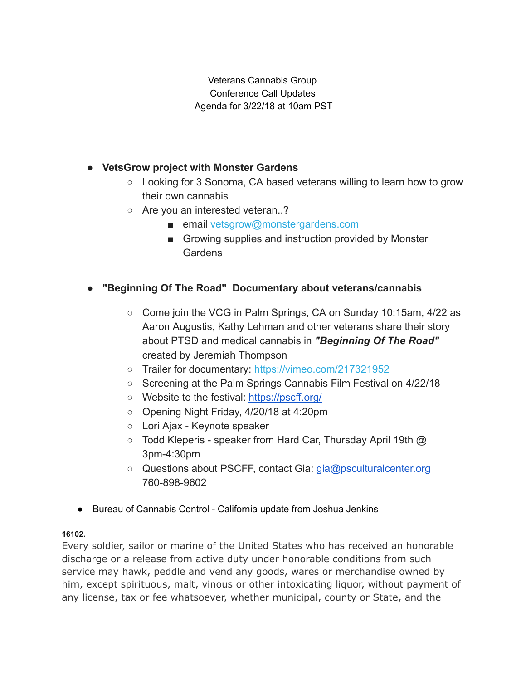Veterans Cannabis Group Conference Call Updates Agenda for 3/22/18 at 10am PST

# ● VetsGrow project with Monster Gardens

- $\circ$  Looking for 3 Sonoma, CA based veterans willing to learn how to grow their own cannabis
- Are you an interested veteran..?
	- email vetsgrow@monstergardens.com
	- Growing supplies and instruction provided by Monster **Gardens**

## "Beginning Of The Road" Documentary about veterans/cannabis

- Come join the VCG in Palm Springs, CA on Sunday 10:15am, 4/22 as Aaron Augustis, Kathy Lehman and other veterans share their story about PTSD and medical cannabis in "Beginning Of The Road" created by Jeremiah Thompson
- Trailer for documentary: [https://vimeo.com/217321952](https://veteranscannabisgroup.us13.list-manage.com/track/click?u=8071ebc66bf1e72f00a117427&id=160bc95c90&e=df4ac0fa96)
- Screening at the Palm Springs Cannabis Film Festival on 4/22/18
- Website to the festival: <https://pscff.org/>
- Opening Night Friday, 4/20/18 at 4:20pm
- Lori Ajax Keynote speaker
- $\circ$  Todd Kleperis speaker from Hard Car, Thursday April 19th  $\omega$ 3pm-4:30pm
- Questions about PSCFF, contact Gia: [gia@psculturalcenter.org](mailto:gia@psculturalcenter.org) 760-898-9602
- Bureau of Cannabis Control California update from Joshua Jenkins

### 16102.

Every soldier, sailor or marine of the United States who has received an honorable discharge or a release from active duty under honorable conditions from such service may hawk, peddle and vend any goods, wares or merchandise owned by him, except spirituous, malt, vinous or other intoxicating liquor, without payment of any license, tax or fee whatsoever, whether municipal, county or State, and the